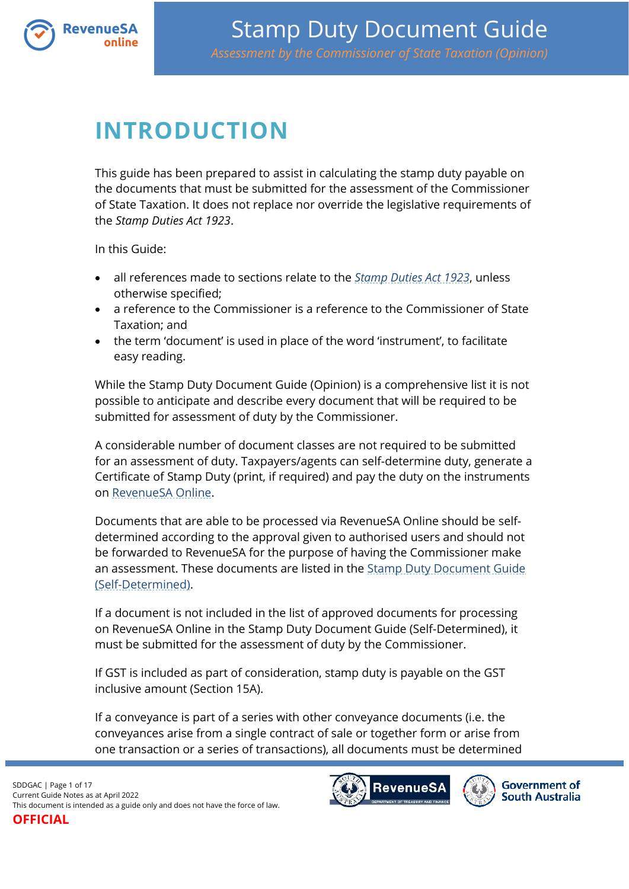

# <span id="page-0-0"></span>**INTRODUCTION**

This guide has been prepared to assist in calculating the stamp duty payable on the documents that must be submitted for the assessment of the Commissioner of State Taxation. It does not replace nor override the legislative requirements of the *Stamp Duties Act 1923*.

In this Guide:

- all references made to sections relate to the *[Stamp Duties Act 1923](https://www.legislation.sa.gov.au/lz?path=%2FC%2FA%2FSTAMP%20DUTIES%20ACT%201923)*, unless otherwise specified;
- a reference to the Commissioner is a reference to the Commissioner of State Taxation; and
- the term 'document' is used in place of the word 'instrument', to facilitate easy reading.

While the Stamp Duty Document Guide (Opinion) is a comprehensive list it is not possible to anticipate and describe every document that will be required to be submitted for assessment of duty by the Commissioner.

A considerable number of document classes are not required to be submitted for an assessment of duty. Taxpayers/agents can self-determine duty, generate a Certificate of Stamp Duty (print, if required) and pay the duty on the instruments on [RevenueSA Online.](http://www.revenuesaonline.sa.gov.au/)

Documents that are able to be processed via RevenueSA Online should be selfdetermined according to the approval given to authorised users and should not be forwarded to RevenueSA for the purpose of having the Commissioner make an assessment. These documents are listed in the **Stamp Duty Document Guide** [\(Self-Determined\).](https://www.revenuesa.sa.gov.au/stampduty/stamp-duty-document-guide#Self-Determined)

If a document is not included in the list of approved documents for processing on RevenueSA Online in the [Stamp Duty Document Guide \(Self-Determined\),](http://www.revenuesa.sa.gov.au/taxes-and-duties/stamp-duties/document-guide-self-determined) it must be submitted for the assessment of duty by the Commissioner.

If GST is included as part of consideration, stamp duty is payable on the GST inclusive amount (Section 15A).

If a conveyance is part of a series with other conveyance documents (i.e. the conveyances arise from a single contract of sale or together form or arise from one transaction or a series of transactions), all documents must be determined

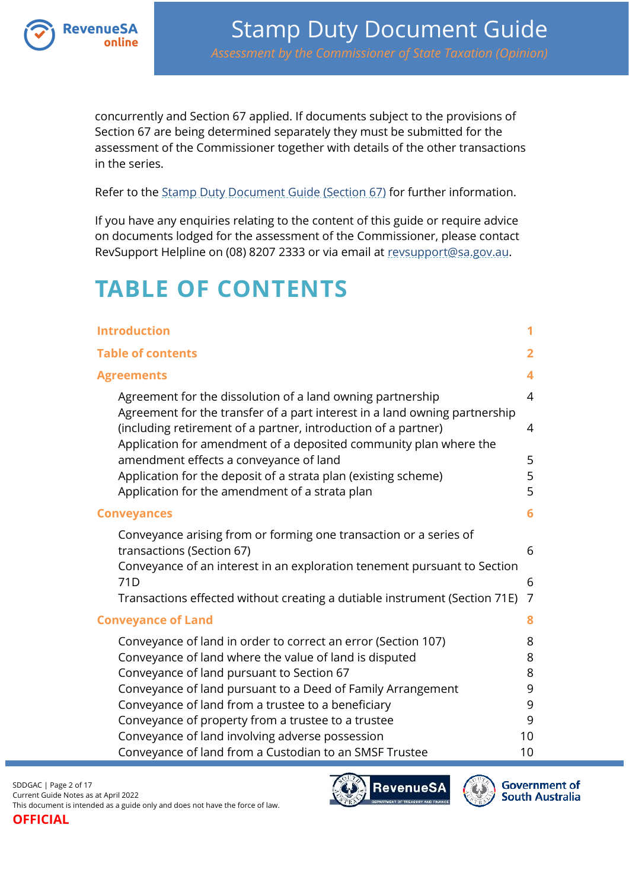

concurrently and Section 67 applied. If documents subject to the provisions of Section 67 are being determined separately they must be submitted for the assessment of the Commissioner together with details of the other transactions in the series.

Refer to the [Stamp Duty Document Guide \(Section](https://www.revenuesa.sa.gov.au/stampduty/stamp-duty-document-guide/section67) 67) for further information.

If you have any enquiries relating to the content of this guide or require advice on documents lodged for the assessment of the Commissioner, please contact RevSupport Helpline on (08) 8207 2333 or via email at [revsupport@sa.gov.au.](mailto:revsupport@sa.gov.au)

# <span id="page-1-0"></span>**TABLE OF CONTENTS**

| <b>Introduction</b>                                                                                                                                                                                                                                                                                                       | 1                        |
|---------------------------------------------------------------------------------------------------------------------------------------------------------------------------------------------------------------------------------------------------------------------------------------------------------------------------|--------------------------|
| <b>Table of contents</b>                                                                                                                                                                                                                                                                                                  | 2                        |
| <b>Agreements</b>                                                                                                                                                                                                                                                                                                         | 4                        |
| Agreement for the dissolution of a land owning partnership<br>Agreement for the transfer of a part interest in a land owning partnership<br>(including retirement of a partner, introduction of a partner)<br>Application for amendment of a deposited community plan where the<br>amendment effects a conveyance of land | $\overline{4}$<br>4<br>5 |
| Application for the deposit of a strata plan (existing scheme)                                                                                                                                                                                                                                                            | 5                        |
| Application for the amendment of a strata plan                                                                                                                                                                                                                                                                            | 5                        |
| <b>Conveyances</b>                                                                                                                                                                                                                                                                                                        | 6                        |
| Conveyance arising from or forming one transaction or a series of<br>transactions (Section 67)<br>Conveyance of an interest in an exploration tenement pursuant to Section<br>71D                                                                                                                                         | 6<br>6                   |
| Transactions effected without creating a dutiable instrument (Section 71E)                                                                                                                                                                                                                                                | 7                        |
| <b>Conveyance of Land</b>                                                                                                                                                                                                                                                                                                 | 8                        |
| Conveyance of land in order to correct an error (Section 107)<br>Conveyance of land where the value of land is disputed<br>Conveyance of land pursuant to Section 67                                                                                                                                                      | 8<br>8<br>8              |
| Conveyance of land pursuant to a Deed of Family Arrangement                                                                                                                                                                                                                                                               | 9                        |
| Conveyance of land from a trustee to a beneficiary                                                                                                                                                                                                                                                                        | 9                        |
| Conveyance of property from a trustee to a trustee                                                                                                                                                                                                                                                                        | 9                        |
| Conveyance of land involving adverse possession<br>Conveyance of land from a Custodian to an SMSF Trustee                                                                                                                                                                                                                 | 10<br>10                 |



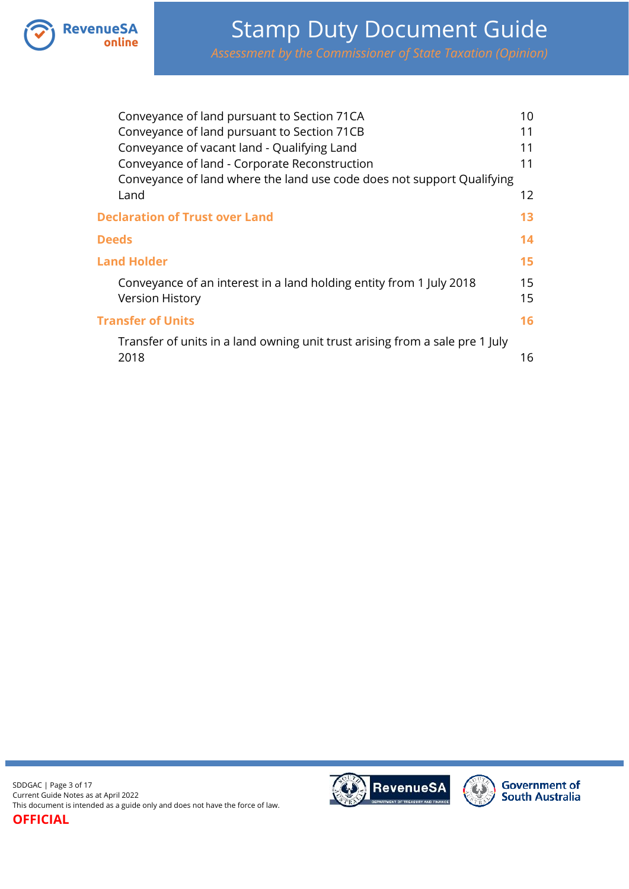

|              | Conveyance of land pursuant to Section 71CA                                  | 10 |
|--------------|------------------------------------------------------------------------------|----|
|              | Conveyance of land pursuant to Section 71CB                                  | 11 |
|              | Conveyance of vacant land - Qualifying Land                                  | 11 |
|              | Conveyance of land - Corporate Reconstruction                                | 11 |
|              | Conveyance of land where the land use code does not support Qualifying       |    |
|              | Land                                                                         | 12 |
|              | <b>Declaration of Trust over Land</b>                                        | 13 |
| <b>Deeds</b> |                                                                              | 14 |
|              | <b>Land Holder</b>                                                           | 15 |
|              | Conveyance of an interest in a land holding entity from 1 July 2018          | 15 |
|              | <b>Version History</b>                                                       | 15 |
|              | <b>Transfer of Units</b>                                                     | 16 |
|              | Transfer of units in a land owning unit trust arising from a sale pre 1 July |    |
|              | 2018                                                                         | 16 |

SDDGAC | Page 3 of 17 Current Guide Notes as at April 2022 This document is intended as a guide only and does not have the force of law.



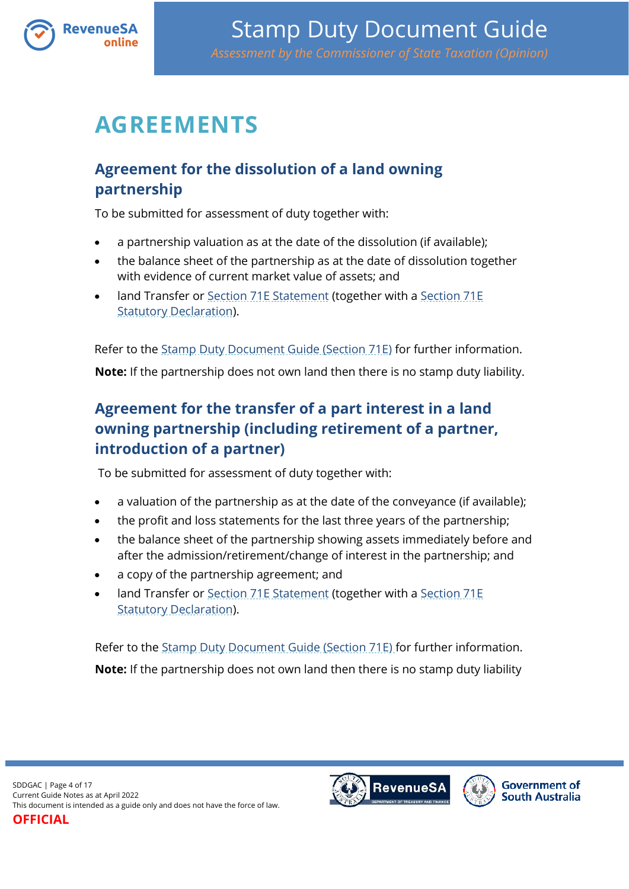

# <span id="page-3-0"></span>**AGREEMENTS**

## <span id="page-3-1"></span>**Agreement for the dissolution of a land owning partnership**

To be submitted for assessment of duty together with:

- a partnership valuation as at the date of the dissolution (if available);
- the balance sheet of the partnership as at the date of dissolution together with evidence of current market value of assets; and
- land Transfer or [Section 71E Statement](https://www.revenuesa.sa.gov.au/forms-and-publications/documents/forms/71estatement.pdf) (together with a [Section 71E](https://www.revenuesa.sa.gov.au/forms-and-publications/documents/forms/71estatdec.pdf)  [Statutory Declaration\)](https://www.revenuesa.sa.gov.au/forms-and-publications/documents/forms/71estatdec.pdf).

Refer to the [Stamp Duty Document Guide \(Section 71E\)](https://www.revenuesa.sa.gov.au/stampduty/stamp-duty-document-guide/section71e) for further information. **Note:** If the partnership does not own land then there is no stamp duty liability.

## <span id="page-3-2"></span>**Agreement for the transfer of a part interest in a land owning partnership (including retirement of a partner, introduction of a partner)**

To be submitted for assessment of duty together with:

- a valuation of the partnership as at the date of the conveyance (if available);
- the profit and loss statements for the last three years of the partnership;
- the balance sheet of the partnership showing assets immediately before and after the admission/retirement/change of interest in the partnership; and
- a copy of the partnership agreement; and
- land Transfer or [Section 71E Statement](https://www.revenuesa.sa.gov.au/forms-and-publications/documents/forms/71estatement.pdf) (together with a [Section 71E](https://www.revenuesa.sa.gov.au/forms-and-publications/documents/forms/71estatdec.pdf)  [Statutory Declaration\)](https://www.revenuesa.sa.gov.au/forms-and-publications/documents/forms/71estatdec.pdf).

Refer to the [Stamp Duty Document Guide \(Section 71E\)](https://www.revenuesa.sa.gov.au/stampduty/stamp-duty-document-guide/section71e) for further information. **Note:** If the partnership does not own land then there is no stamp duty liability

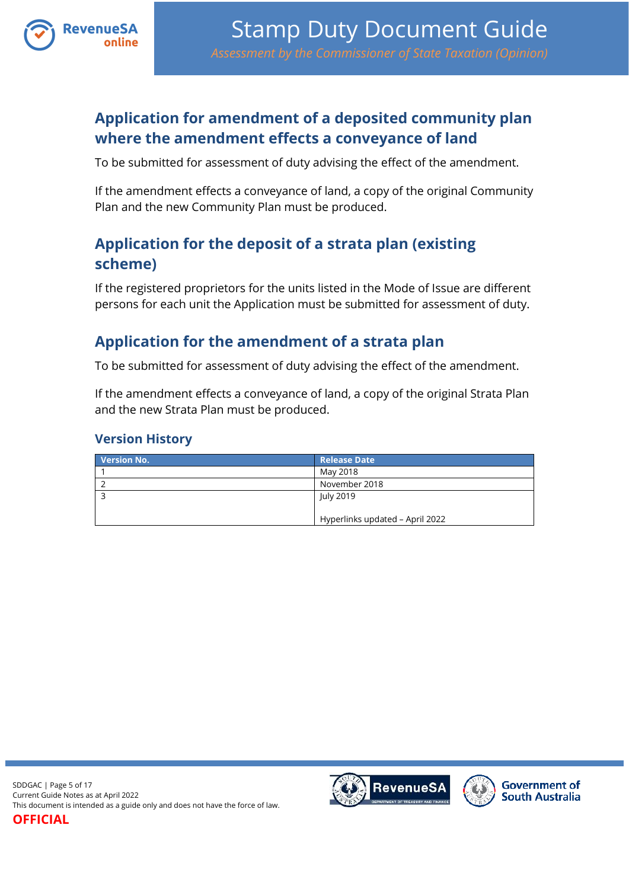

## <span id="page-4-0"></span>**Application for amendment of a deposited community plan where the amendment effects a conveyance of land**

To be submitted for assessment of duty advising the effect of the amendment.

If the amendment effects a conveyance of land, a copy of the original Community Plan and the new Community Plan must be produced.

## <span id="page-4-1"></span>**Application for the deposit of a strata plan (existing scheme)**

If the registered proprietors for the units listed in the Mode of Issue are different persons for each unit the Application must be submitted for assessment of duty.

## <span id="page-4-2"></span>**Application for the amendment of a strata plan**

To be submitted for assessment of duty advising the effect of the amendment.

If the amendment effects a conveyance of land, a copy of the original Strata Plan and the new Strata Plan must be produced.

#### **Version History**

| <b>Version No.</b> | <b>Release Date</b>             |
|--------------------|---------------------------------|
|                    | May 2018                        |
|                    | November 2018                   |
|                    | July 2019                       |
|                    |                                 |
|                    | Hyperlinks updated - April 2022 |



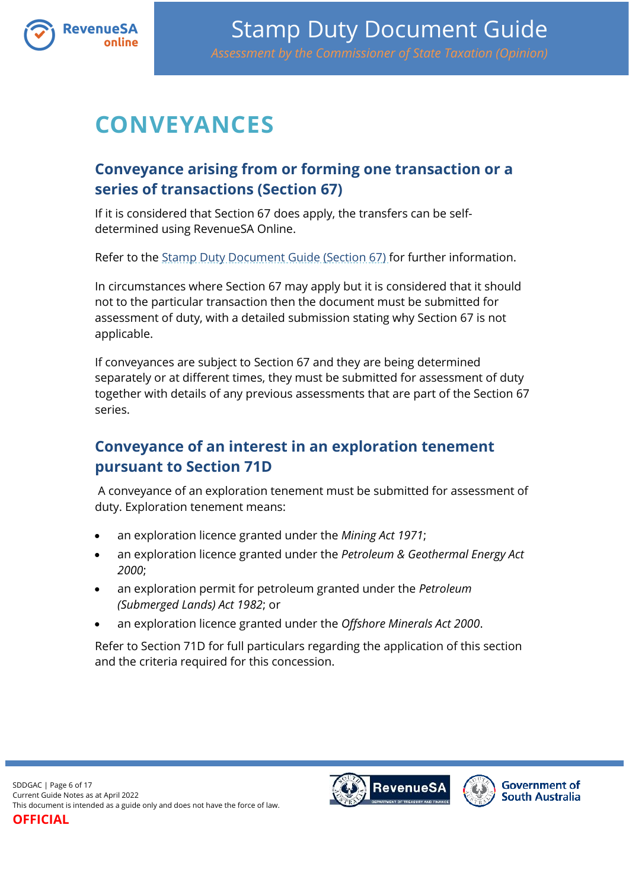

# <span id="page-5-0"></span>**CONVEYANCES**

## <span id="page-5-1"></span>**Conveyance arising from or forming one transaction or a series of transactions (Section 67)**

If it is considered that Section 67 does apply, the transfers can be selfdetermined using RevenueSA Online.

Refer to the [Stamp Duty Document Guide \(Section 67\)](https://www.revenuesa.sa.gov.au/stampduty/stamp-duty-document-guide/section67) for further information.

In circumstances where Section 67 may apply but it is considered that it should not to the particular transaction then the document must be submitted for assessment of duty, with a detailed submission stating why Section 67 is not applicable.

If conveyances are subject to Section 67 and they are being determined separately or at different times, they must be submitted for assessment of duty together with details of any previous assessments that are part of the Section 67 series.

## <span id="page-5-2"></span>**Conveyance of an interest in an exploration tenement pursuant to Section 71D**

A conveyance of an exploration tenement must be submitted for assessment of duty. Exploration tenement means:

- an exploration licence granted under the *Mining Act 1971*;
- an exploration licence granted under the *Petroleum & Geothermal Energy Act 2000*;
- an exploration permit for petroleum granted under the *Petroleum (Submerged Lands) Act 1982*; or
- an exploration licence granted under the *Offshore Minerals Act 2000*.

Refer to Section 71D for full particulars regarding the application of this section and the criteria required for this concession.



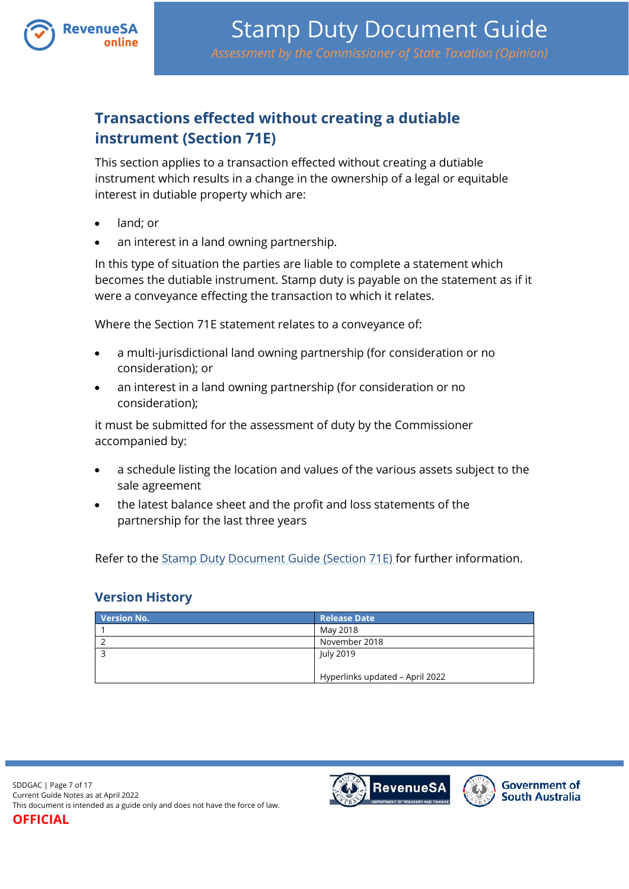

## <span id="page-6-0"></span>**Transactions effected without creating a dutiable instrument (Section 71E)**

This section applies to a transaction effected without creating a dutiable instrument which results in a change in the ownership of a legal or equitable interest in dutiable property which are:

- land; or
- an interest in a land owning partnership.

In this type of situation the parties are liable to complete a statement which becomes the dutiable instrument. Stamp duty is payable on the statement as if it were a conveyance effecting the transaction to which it relates.

Where the Section 71E statement relates to a conveyance of:

- a multi-jurisdictional land owning partnership (for consideration or no consideration); or
- an interest in a land owning partnership (for consideration or no consideration);

it must be submitted for the assessment of duty by the Commissioner accompanied by:

- a schedule listing the location and values of the various assets subject to the sale agreement
- the latest balance sheet and the profit and loss statements of the partnership for the last three years

Refer to the [Stamp Duty Document Guide \(Section 71E\)](https://www.revenuesa.sa.gov.au/stampduty/stamp-duty-document-guide/section71e) for further information.

### **Version History**

| <b>Version No.</b> | <b>Release Date</b>             |
|--------------------|---------------------------------|
|                    | May 2018                        |
|                    | November 2018                   |
|                    | July 2019                       |
|                    |                                 |
|                    | Hyperlinks updated - April 2022 |

SDDGAC | Page 7 of 17 Current Guide Notes as at April 2022 This document is intended as a guide only and does not have the force of law.

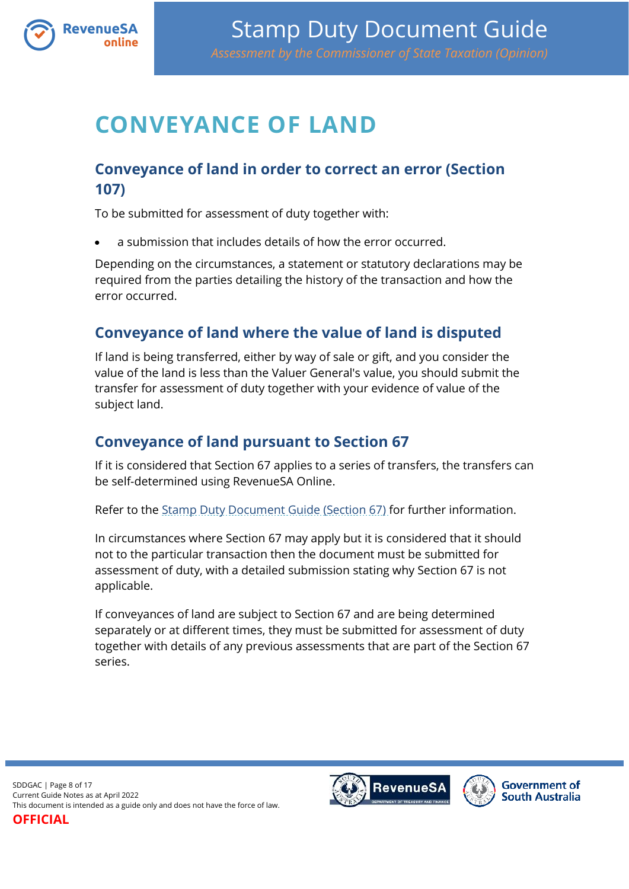

# <span id="page-7-0"></span>**CONVEYANCE OF LAND**

## <span id="page-7-1"></span>**Conveyance of land in order to correct an error (Section 107)**

To be submitted for assessment of duty together with:

a submission that includes details of how the error occurred.

Depending on the circumstances, a statement or statutory declarations may be required from the parties detailing the history of the transaction and how the error occurred.

## <span id="page-7-2"></span>**Conveyance of land where the value of land is disputed**

If land is being transferred, either by way of sale or gift, and you consider the value of the land is less than the Valuer General's value, you should submit the transfer for assessment of duty together with your evidence of value of the subject land.

### <span id="page-7-3"></span>**Conveyance of land pursuant to Section 67**

If it is considered that Section 67 applies to a series of transfers, the transfers can be self-determined using RevenueSA Online.

Refer to the [Stamp Duty Document Guide \(Section 67\)](https://www.revenuesa.sa.gov.au/stampduty/stamp-duty-document-guide/section67) for further information.

In circumstances where Section 67 may apply but it is considered that it should not to the particular transaction then the document must be submitted for assessment of duty, with a detailed submission stating why Section 67 is not applicable.

If conveyances of land are subject to Section 67 and are being determined separately or at different times, they must be submitted for assessment of duty together with details of any previous assessments that are part of the Section 67 series.

SDDGAC | Page 8 of 17 Current Guide Notes as at April 2022 This document is intended as a guide only and does not have the force of law.

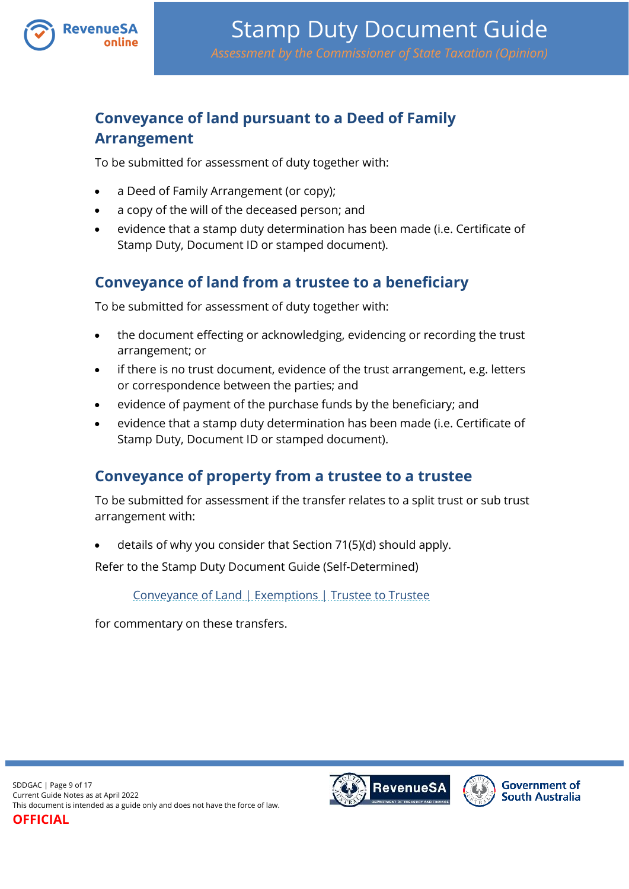

## <span id="page-8-0"></span>**Conveyance of land pursuant to a Deed of Family Arrangement**

To be submitted for assessment of duty together with:

- a Deed of Family Arrangement (or copy);
- a copy of the will of the deceased person; and
- evidence that a stamp duty determination has been made (i.e. Certificate of Stamp Duty, Document ID or stamped document).

## <span id="page-8-1"></span>**Conveyance of land from a trustee to a beneficiary**

To be submitted for assessment of duty together with:

- the document effecting or acknowledging, evidencing or recording the trust arrangement; or
- if there is no trust document, evidence of the trust arrangement, e.g. letters or correspondence between the parties; and
- evidence of payment of the purchase funds by the beneficiary; and
- evidence that a stamp duty determination has been made (i.e. Certificate of Stamp Duty, Document ID or stamped document).

## <span id="page-8-2"></span>**Conveyance of property from a trustee to a trustee**

To be submitted for assessment if the transfer relates to a split trust or sub trust arrangement with:

details of why you consider that Section 71(5)(d) should apply.

Refer to the Stamp Duty Document Guide (Self-Determined)

[Conveyance of Land | Exemptions | Trustee to Trustee](https://www.revenuesa.sa.gov.au/stampduty/stamp-duty-document-guide/self-determined/conveyance-of-land-exemptions/sddgsd_cl_ex_ttot)

for commentary on these transfers.



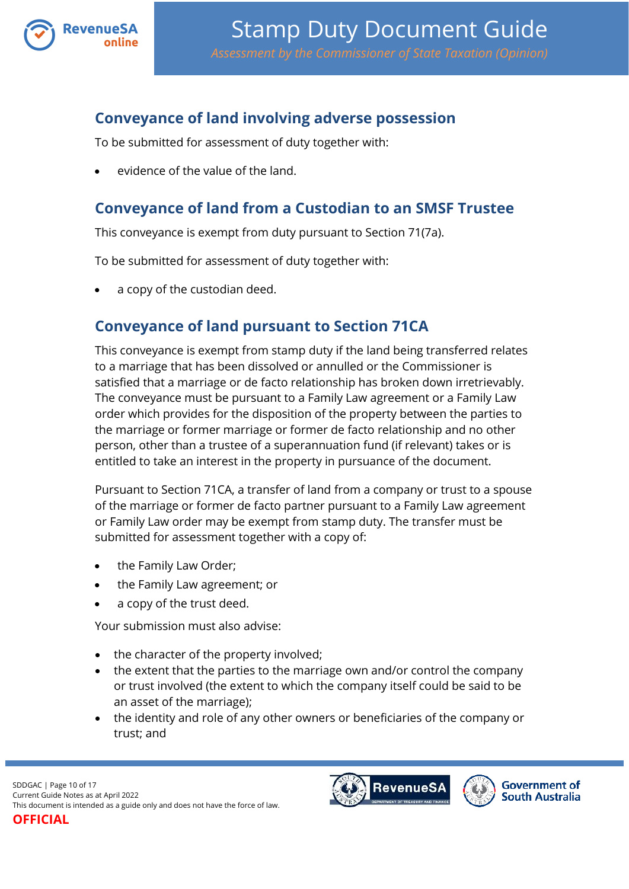

### <span id="page-9-0"></span>**Conveyance of land involving adverse possession**

To be submitted for assessment of duty together with:

evidence of the value of the land.

### <span id="page-9-1"></span>**Conveyance of land from a Custodian to an SMSF Trustee**

This conveyance is exempt from duty pursuant to Section 71(7a).

To be submitted for assessment of duty together with:

a copy of the custodian deed.

### <span id="page-9-2"></span>**Conveyance of land pursuant to Section 71CA**

This conveyance is exempt from stamp duty if the land being transferred relates to a marriage that has been dissolved or annulled or the Commissioner is satisfied that a marriage or de facto relationship has broken down irretrievably. The conveyance must be pursuant to a Family Law agreement or a Family Law order which provides for the disposition of the property between the parties to the marriage or former marriage or former de facto relationship and no other person, other than a trustee of a superannuation fund (if relevant) takes or is entitled to take an interest in the property in pursuance of the document.

Pursuant to Section 71CA, a transfer of land from a company or trust to a spouse of the marriage or former de facto partner pursuant to a Family Law agreement or Family Law order may be exempt from stamp duty. The transfer must be submitted for assessment together with a copy of:

- the Family Law Order;
- the Family Law agreement; or
- a copy of the trust deed.

Your submission must also advise:

- the character of the property involved;
- the extent that the parties to the marriage own and/or control the company or trust involved (the extent to which the company itself could be said to be an asset of the marriage);
- the identity and role of any other owners or beneficiaries of the company or trust; and

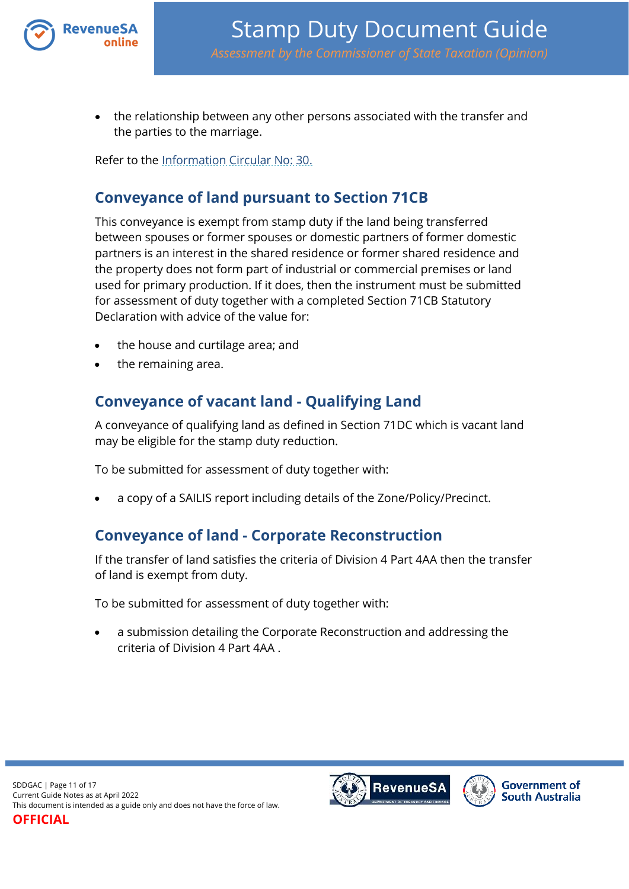

 the relationship between any other persons associated with the transfer and the parties to the marriage.

Refer to the [Information Circular No: 30.](https://www.revenuesa.sa.gov.au/forms-and-publications/information-circulars-and-revenue-rulings/information-circulars/ic_030)

### <span id="page-10-0"></span>**Conveyance of land pursuant to Section 71CB**

This conveyance is exempt from stamp duty if the land being transferred between spouses or former spouses or domestic partners of former domestic partners is an interest in the shared residence or former shared residence and the property does not form part of industrial or commercial premises or land used for primary production. If it does, then the instrument must be submitted for assessment of duty together with a completed Section 71CB Statutory Declaration with advice of the value for:

- the house and curtilage area; and
- the remaining area.

## <span id="page-10-1"></span>**Conveyance of vacant land - Qualifying Land**

A conveyance of qualifying land as defined in Section 71DC which is vacant land may be eligible for the stamp duty reduction.

To be submitted for assessment of duty together with:

a copy of a SAILIS report including details of the Zone/Policy/Precinct.

### <span id="page-10-2"></span>**Conveyance of land - Corporate Reconstruction**

If the transfer of land satisfies the criteria of Division 4 Part 4AA then the transfer of land is exempt from duty.

To be submitted for assessment of duty together with:

<span id="page-10-3"></span> a submission detailing the Corporate Reconstruction and addressing the criteria of Division 4 Part 4AA .



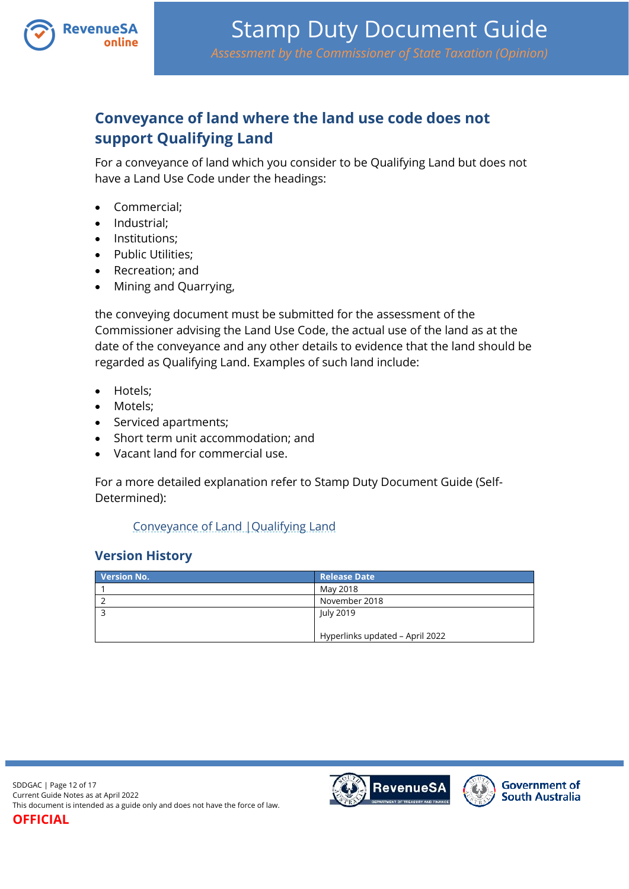

## <span id="page-11-0"></span>**Conveyance of land where the land use code does not support Qualifying Land**

For a conveyance of land which you consider to be Qualifying Land but does not have a Land Use Code under the headings:

- Commercial;
- Industrial:
- Institutions:
- Public Utilities:
- Recreation; and
- Mining and Quarrying,

the conveying document must be submitted for the assessment of the Commissioner advising the Land Use Code, the actual use of the land as at the date of the conveyance and any other details to evidence that the land should be regarded as Qualifying Land. Examples of such land include:

- Hotels;
- Motels:
- Serviced apartments;
- Short term unit accommodation; and
- Vacant land for commercial use.

For a more detailed explanation refer to Stamp Duty Document Guide (Self-Determined):

#### [Conveyance of Land |Qualifying Land](https://www.revenuesa.sa.gov.au/stampduty/stamp-duty-document-guide/self-determined/conveyance-of-land/sddgsd_cl_ql)

#### **Version History**

| <b>Version No.</b> | <b>Release Date</b>             |
|--------------------|---------------------------------|
|                    | May 2018                        |
|                    | November 2018                   |
|                    | July 2019                       |
|                    |                                 |
|                    | Hyperlinks updated - April 2022 |

SDDGAC | Page 12 of 17 Current Guide Notes as at April 2022 This document is intended as a guide only and does not have the force of law.

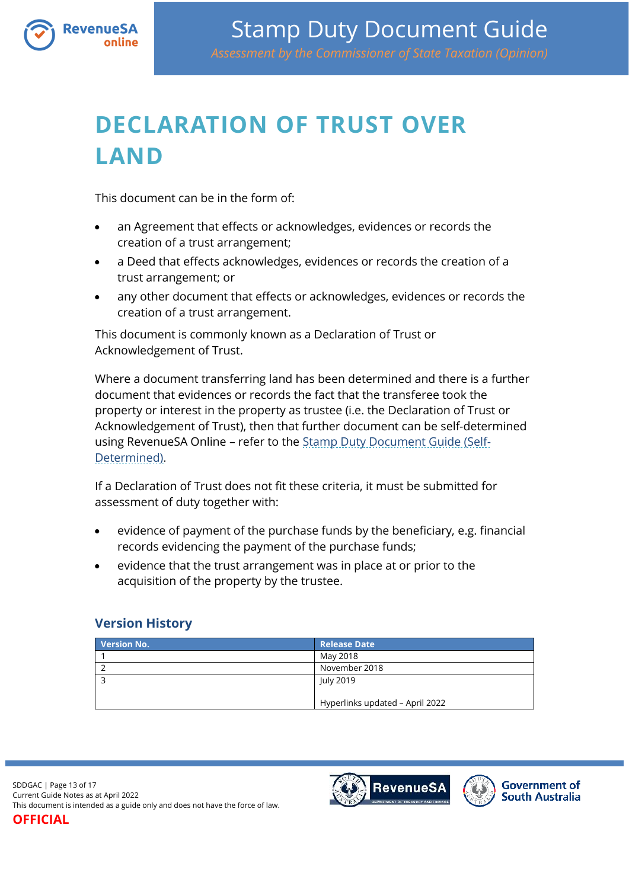

# <span id="page-12-0"></span>**DECLARATION OF TRUST OVER LAND**

This document can be in the form of:

**RevenueSA** 

- an Agreement that effects or acknowledges, evidences or records the creation of a trust arrangement;
- a Deed that effects acknowledges, evidences or records the creation of a trust arrangement; or
- any other document that effects or acknowledges, evidences or records the creation of a trust arrangement.

This document is commonly known as a Declaration of Trust or Acknowledgement of Trust.

Where a document transferring land has been determined and there is a further document that evidences or records the fact that the transferee took the property or interest in the property as trustee (i.e. the Declaration of Trust or Acknowledgement of Trust), then that further document can be self-determined using RevenueSA Online – refer to the [Stamp Duty Document Guide \(Self-](https://www.revenuesa.sa.gov.au/stampduty/stamp-duty-document-guide#Self-Determined)[Determined\)](https://www.revenuesa.sa.gov.au/stampduty/stamp-duty-document-guide#Self-Determined).

If a Declaration of Trust does not fit these criteria, it must be submitted for assessment of duty together with:

- evidence of payment of the purchase funds by the beneficiary, e.g. financial records evidencing the payment of the purchase funds;
- evidence that the trust arrangement was in place at or prior to the acquisition of the property by the trustee.

#### **Version History**

| <b>Version No.</b> | <b>Release Date</b>             |
|--------------------|---------------------------------|
|                    | May 2018                        |
|                    | November 2018                   |
|                    | July 2019                       |
|                    |                                 |
|                    | Hyperlinks updated - April 2022 |

SDDGAC | Page 13 of 17 Current Guide Notes as at April 2022 This document is intended as a guide only and does not have the force of law.

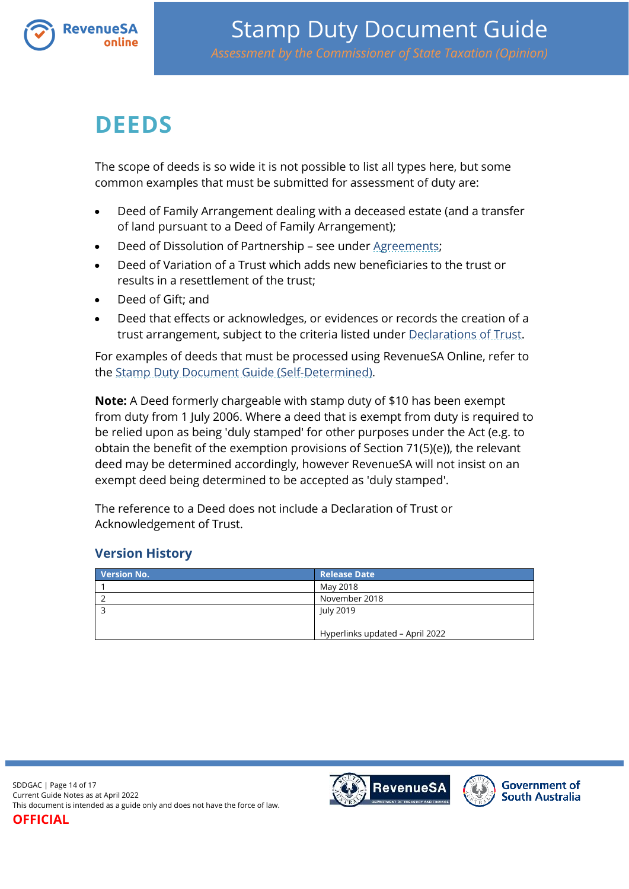

# <span id="page-13-0"></span>**DEEDS**

The scope of deeds is so wide it is not possible to list all types here, but some common examples that must be submitted for assessment of duty are:

- Deed of Family Arrangement dealing with a deceased estate (and a transfer of land pursuant to a Deed of Family Arrangement);
- Deed of Dissolution of Partnership see under [Agreements;](#page-3-0)
- Deed of Variation of a Trust which adds new beneficiaries to the trust or results in a resettlement of the trust;
- Deed of Gift; and
- Deed that effects or acknowledges, or evidences or records the creation of a trust arrangement, subject to the criteria listed under [Declarations of Trust.](#page-10-3)

For examples of deeds that must be processed using RevenueSA Online, refer to the [Stamp Duty Document Guide \(Self-Determined\)](https://www.revenuesa.sa.gov.au/stampduty/stamp-duty-document-guide#Self-Determined).

**Note:** A Deed formerly chargeable with stamp duty of \$10 has been exempt from duty from 1 July 2006. Where a deed that is exempt from duty is required to be relied upon as being 'duly stamped' for other purposes under the Act (e.g. to obtain the benefit of the exemption provisions of Section 71(5)(e)), the relevant deed may be determined accordingly, however RevenueSA will not insist on an exempt deed being determined to be accepted as 'duly stamped'.

The reference to a Deed does not include a Declaration of Trust or Acknowledgement of Trust.

#### **Version History**

| <b>Version No.</b> | <b>Release Date</b>             |
|--------------------|---------------------------------|
|                    | May 2018                        |
|                    | November 2018                   |
|                    | July 2019                       |
|                    |                                 |
|                    | Hyperlinks updated - April 2022 |

SDDGAC | Page 14 of 17 Current Guide Notes as at April 2022 This document is intended as a guide only and does not have the force of law.

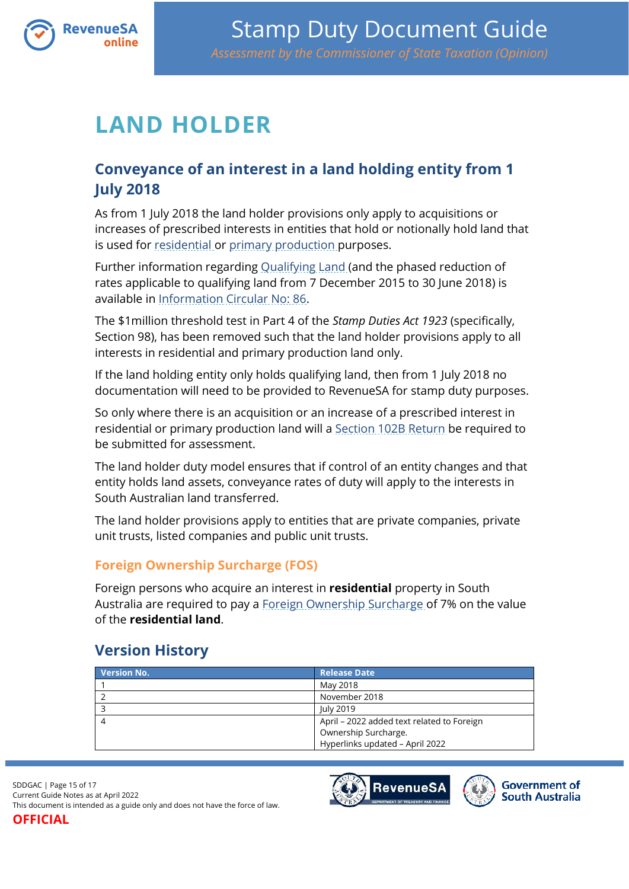

# <span id="page-14-0"></span>**LAND HOLDER**

## <span id="page-14-1"></span>**Conveyance of an interest in a land holding entity from 1 July 2018**

As from 1 July 2018 the land holder provisions only apply to acquisitions or increases of prescribed interests in entities that hold or notionally hold land that is used for [residential](https://www.revenuesa.sa.gov.au/stampduty/stamp-duty-document-guide#RR&PP) or [primary production](https://www.revenuesa.sa.gov.au/stampduty/stamp-duty-document-guide#RR&PP) purposes.

Further information regarding [Qualifying Land](https://www.revenuesa.sa.gov.au/stampduty/stamp-duty-document-guide#Qualifying) (and the phased reduction of rates applicable to qualifying land from 7 December 2015 to 30 June 2018) is available in [Information Circular No: 86.](https://www.revenuesa.sa.gov.au/forms-and-publications/information-circulars-and-revenue-rulings/information-circulars/ic_086)

The \$1million threshold test in Part 4 of the *Stamp Duties Act 1923* (specifically, Section 98), has been removed such that the land holder provisions apply to all interests in residential and primary production land only.

If the land holding entity only holds qualifying land, then from 1 July 2018 no documentation will need to be provided to RevenueSA for stamp duty purposes.

So only where there is an acquisition or an increase of a prescribed interest in residential or primary production land will a [Section 102B Return](https://www.revenuesa.sa.gov.au/__data/assets/pdf_file/0004/204538/SD_S102B_post1Jan18_1118.pdf) be required to be submitted for assessment.

The land holder duty model ensures that if control of an entity changes and that entity holds land assets, conveyance rates of duty will apply to the interests in South Australian land transferred.

The land holder provisions apply to entities that are private companies, private unit trusts, listed companies and public unit trusts.

#### **Foreign Ownership Surcharge (FOS)**

Foreign persons who acquire an interest in **residential** property in South Australia are required to pay a [Foreign Ownership Surcharge](https://www.revenuesa.sa.gov.au/stampduty/stamp-duty-document-guide#FOS) of 7% on the value of the **residential land**.

### <span id="page-14-2"></span>**Version History**

| <b>Version No.</b> | <b>Release Date</b>                        |
|--------------------|--------------------------------------------|
|                    | May 2018                                   |
|                    | November 2018                              |
|                    | July 2019                                  |
|                    | April - 2022 added text related to Foreign |
|                    | Ownership Surcharge.                       |
|                    | Hyperlinks updated - April 2022            |

SDDGAC | Page 15 of 17 Current Guide Notes as at April 2022 This document is intended as a guide only and does not have the force of law.



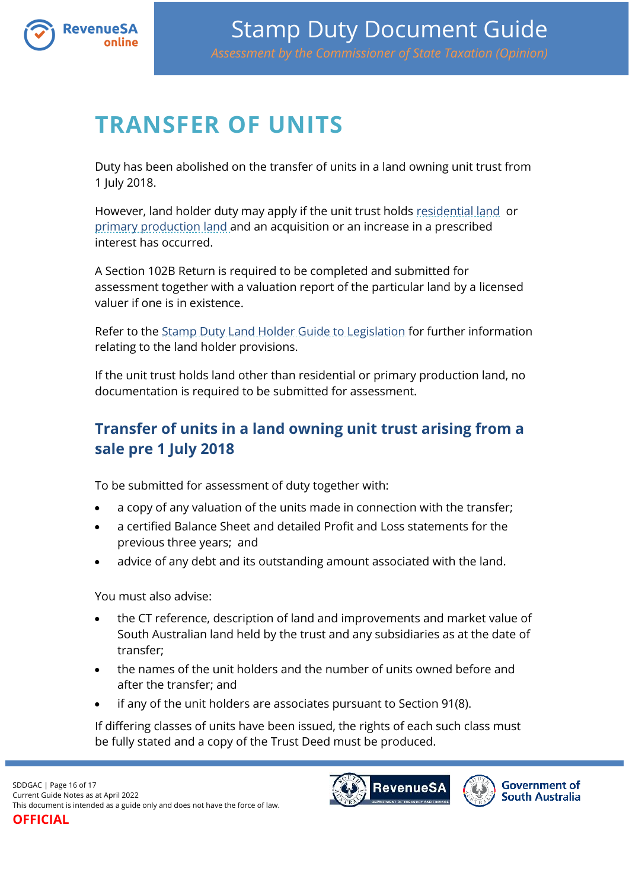

# <span id="page-15-0"></span>**TRANSFER OF UNITS**

Duty has been abolished on the transfer of units in a land owning unit trust from 1 July 2018.

However, land holder duty may apply if the unit trust holds [residential land](https://www.revenuesa.sa.gov.au/stampduty/stamp-duty-document-guide#RR&PP) or [primary production land](https://www.revenuesa.sa.gov.au/stampduty/stamp-duty-document-guide#RR&PP) and an acquisition or an increase in a prescribed interest has occurred.

A Section 102B Return is required to be completed and submitted for assessment together with a valuation report of the particular land by a licensed valuer if one is in existence.

Refer to the [Stamp Duty Land Holder Guide to Legislation](http://www.revenuesa.sa.gov.au/services-and-information/publications/guides-to-legislation) for further information relating to the land holder provisions.

If the unit trust holds land other than residential or primary production land, no documentation is required to be submitted for assessment.

## <span id="page-15-1"></span>**Transfer of units in a land owning unit trust arising from a sale pre 1 July 2018**

To be submitted for assessment of duty together with:

- a copy of any valuation of the units made in connection with the transfer;
- a certified Balance Sheet and detailed Profit and Loss statements for the previous three years; and
- advice of any debt and its outstanding amount associated with the land.

You must also advise:

- the CT reference, description of land and improvements and market value of South Australian land held by the trust and any subsidiaries as at the date of transfer;
- the names of the unit holders and the number of units owned before and after the transfer; and
- if any of the unit holders are associates pursuant to Section 91(8).

If differing classes of units have been issued, the rights of each such class must be fully stated and a copy of the Trust Deed must be produced.